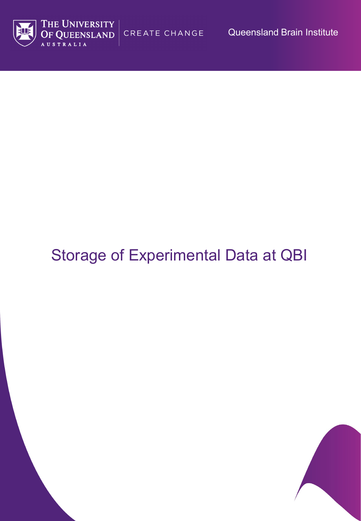CREATE CHANGE Queensland Brain Institute





# Storage of Experimental Data at QBI

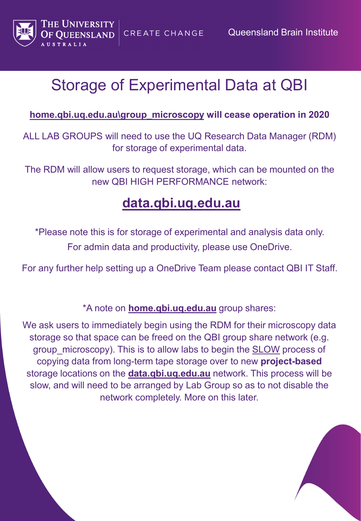

**CREATE CHANGE** 

### Storage of Experimental Data at QBI

#### **home.qbi.uq.edu.au\group\_microscopy will cease operation in 2020**

ALL LAB GROUPS will need to use the UQ Research Data Manager (RDM) for storage of experimental data.

The RDM will allow users to request storage, which can be mounted on the new QBI HIGH PERFORMANCE network:

### **data.qbi.uq.edu.au**

\*Please note this is for storage of experimental and analysis data only. For admin data and productivity, please use OneDrive.

For any further help setting up a OneDrive Team please contact QBI IT Staff.

\*A note on **home.qbi.uq.edu.au** group shares:

We ask users to immediately begin using the RDM for their microscopy data storage so that space can be freed on the QBI group share network (e.g. group microscopy). This is to allow labs to begin the SLOW process of copying data from long-term tape storage over to new **project-based** storage locations on the **data.qbi.uq.edu.au** network. This process will be slow, and will need to be arranged by Lab Group so as to not disable the network completely. More on this later.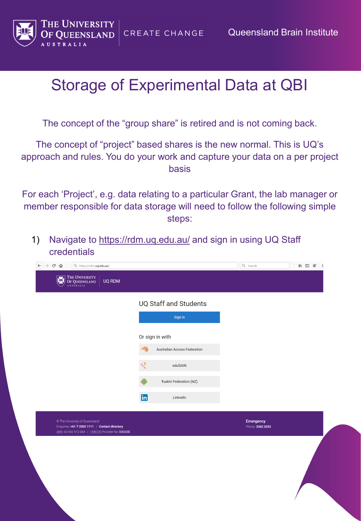

The concept of the "group share" is retired and is not coming back.

The concept of "project" based shares is the new normal. This is UQ's approach and rules. You do your work and capture your data on a per project basis

For each 'Project', e.g. data relating to a particular Grant, the lab manager or member responsible for data storage will need to follow the following simple steps:

1) Navigate to<https://rdm.uq.edu.au/> and sign in using UQ Staff credentials

|                                                                                                                                      | <b>UQ Staff and Students</b><br>Sign in                        |                               |  |
|--------------------------------------------------------------------------------------------------------------------------------------|----------------------------------------------------------------|-------------------------------|--|
|                                                                                                                                      | Or sign in with                                                |                               |  |
|                                                                                                                                      | <b>Australian Access Federation</b><br>$\mathbb{R}$<br>eduGAIN |                               |  |
|                                                                                                                                      | <b>Tuakiri Federation (NZ)</b>                                 |                               |  |
|                                                                                                                                      | <b>in</b><br>LinkedIn                                          |                               |  |
| © The University of Queensland<br>Enquiries: +61 7 3365 1111   Contact directory<br>ABN: 63 942 912 684   CRICOS Provider No: 00025B |                                                                | Emergency<br>Phone: 3365 3333 |  |
|                                                                                                                                      |                                                                |                               |  |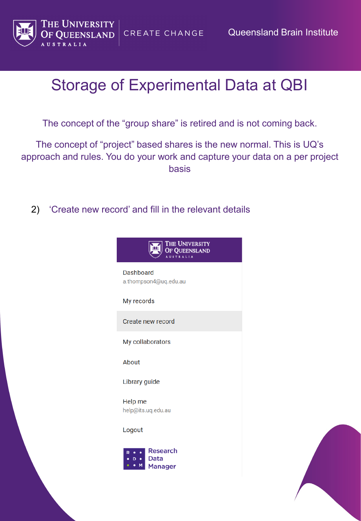

Queensland Brain Institute

### Storage of Experimental Data at QBI

CREATE CHANGE

The concept of the "group share" is retired and is not coming back.

The concept of "project" based shares is the new normal. This is UQ's approach and rules. You do your work and capture your data on a per project basis

2) 'Create new record' and fill in the relevant details



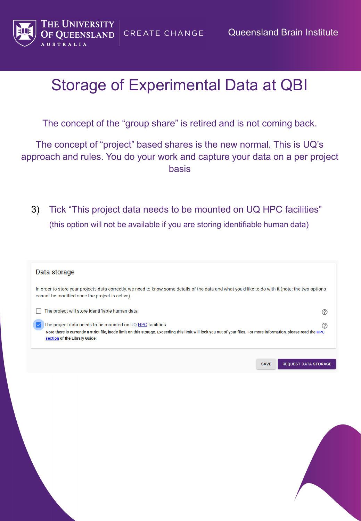

Queensland Brain Institute

### Storage of Experimental Data at QBI

CREATE CHANGE

The concept of the "group share" is retired and is not coming back.

The concept of "project" based shares is the new normal. This is UQ's approach and rules. You do your work and capture your data on a per project basis

3) Tick "This project data needs to be mounted on UQ HPC facilities" (this option will not be available if you are storing identifiable human data)

| Data storage                                                                                                                                                                                                                                                            |                             |
|-------------------------------------------------------------------------------------------------------------------------------------------------------------------------------------------------------------------------------------------------------------------------|-----------------------------|
| In order to store your projects data correctly, we need to know some details of the data and what you'd like to do with it (note: the two options<br>cannot be modified once the project is active).                                                                    |                             |
| The project will store identifiable human data                                                                                                                                                                                                                          | (?)                         |
| The project data needs to be mounted on UQ HPC facilities.<br>lv<br>Note there is currently a strict file/inode limit on this storage. Exceeding this limit will lock you out of your files. For more information, please read the HPC<br>section of the Library Guide. | ②                           |
| <b>SAVE</b>                                                                                                                                                                                                                                                             | <b>REQUEST DATA STORAGE</b> |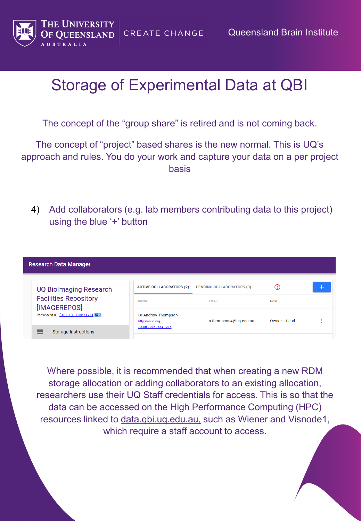

**CREATE CHANGE** 

The concept of the "group share" is retired and is not coming back.

The concept of "project" based shares is the new normal. This is UQ's approach and rules. You do your work and capture your data on a per project basis

4) Add collaborators (e.g. lab members contributing data to this project) using the blue '+' button

| <b>Research Data Manager</b>                        |                                        |                                  |              |   |
|-----------------------------------------------------|----------------------------------------|----------------------------------|--------------|---|
| <b>UQ Biolmaging Research</b>                       | <b>ACTIVE COLLABORATORS (2)</b>        | <b>PENDING COLLABORATORS (0)</b> | ω            |   |
| <b>Facilities Repository</b><br>[IMAGEREPOS]        | Role<br>Name<br>Email                  |                                  |              |   |
| Persistent ID: \$102.100.100/71771 RAD              | Dr Andrew Thompson<br>http://orcid.org | a.thompson4@uq.edu.au            | Owner + Lead | ٠ |
| $\sim$<br><b>Storage Instructions</b><br>$=$<br>$-$ | /0000-0002-7634-127X<br>.              |                                  |              |   |

Where possible, it is recommended that when creating a new RDM storage allocation or adding collaborators to an existing allocation, researchers use their UQ Staff credentials for access. This is so that the data can be accessed on the High Performance Computing (HPC) resources linked to data.qbi.uq.edu.au, such as Wiener and Visnode1, which require a staff account to access.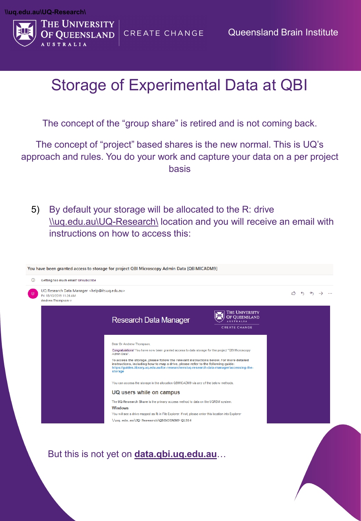

The concept of the "group share" is retired and is not coming back.

The concept of "project" based shares is the new normal. This is UQ's approach and rules. You do your work and capture your data on a per project basis

5) By default your storage will be allocated to the R: drive \\uq.edu.au\UQ-Research\ location and you will receive an email with instructions on how to access this:

| UQ Research Data Manager <help@its.uq.edu.au><br/>Fri 18/10/2019 11:26 AM<br/>Andrew Thompson <math>\otimes</math></help@its.uq.edu.au> |                                                                                                                                                                                                                                                                                                    |                                        | $\leftarrow$ $\rightarrow$ |
|-----------------------------------------------------------------------------------------------------------------------------------------|----------------------------------------------------------------------------------------------------------------------------------------------------------------------------------------------------------------------------------------------------------------------------------------------------|----------------------------------------|----------------------------|
|                                                                                                                                         | <b>Research Data Manager</b>                                                                                                                                                                                                                                                                       | <b>THE UNIVERSITY</b><br>OF QUEENSLAND |                            |
|                                                                                                                                         |                                                                                                                                                                                                                                                                                                    | <b>CREATE CHANGE</b>                   |                            |
|                                                                                                                                         | Dear Dr Andrew Thompson,<br>Congratulations! You have now been granted access to data storage for the project "QBI Microscopy                                                                                                                                                                      |                                        |                            |
|                                                                                                                                         | Admin Data".<br>To access the storage, please follow the relevant instructions below. For more detailed<br>instructions, including how to map a drive, please refer to the following guide:<br>https://guides.library.uq.edu.au/for-researchers/uq-research-data-manager/accessing-the-<br>storage |                                        |                            |
|                                                                                                                                         | You can access the storage in the allocation QBIMICADM9 via any of the below methods.                                                                                                                                                                                                              |                                        |                            |
|                                                                                                                                         | UQ users while on campus                                                                                                                                                                                                                                                                           |                                        |                            |
|                                                                                                                                         | The UQ-Research Share is the primary access method to data on the UQRDM system.                                                                                                                                                                                                                    |                                        |                            |
|                                                                                                                                         | <b>Windows</b><br>You will see a drive mapped as R: in File Explorer. If not, please enter this location into Explorer<br>\\uq.edu.au\UQ-Research\QBIMICADM9-Q1316                                                                                                                                 |                                        |                            |
|                                                                                                                                         | But this is not yet on <b>data.qbi.uq.edu.au</b>                                                                                                                                                                                                                                                   |                                        |                            |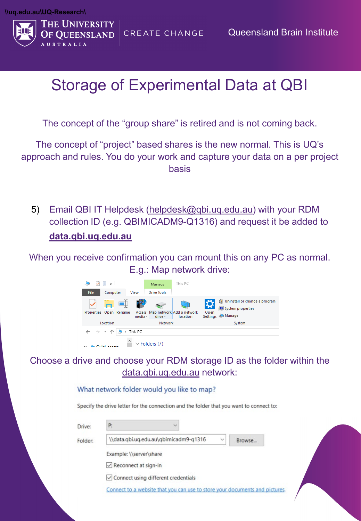

The concept of the "group share" is retired and is not coming back.

The concept of "project" based shares is the new normal. This is UQ's approach and rules. You do your work and capture your data on a per project basis

5) Email QBI IT Helpdesk [\(helpdesk@qbi.uq.edu.au](mailto:helpdesk@qbi.uq.edu.au)) with your RDM collection ID (e.g. QBIMICADM9-Q1316) and request it be added to **data.qbi.uq.edu.au**

When you receive confirmation you can mount this on any PC as normal. E.g.: Map network drive:



#### Choose a drive and choose your RDM storage ID as the folder within the data.qbi.uq.edu.au network:

What network folder would you like to map?

Specify the drive letter for the connection and the folder that you want to connect to:

| \\data.qbi.uq.edu.au\qbimicadm9-q1316      | $\checkmark$<br>Browse |  |
|--------------------------------------------|------------------------|--|
| Example: \\server\share                    |                        |  |
| $\vee$ Reconnect at sign-in                |                        |  |
| $\vee$ Connect using different credentials |                        |  |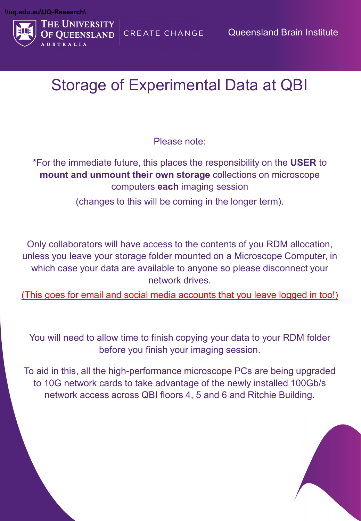

Please note:

\*For the immediate future, this places the responsibility on the **USER** to **mount and unmount their own storage** collections on microscope computers **each** imaging session

(changes to this will be coming in the longer term).

Only collaborators will have access to the contents of you RDM allocation, unless you leave your storage folder mounted on a Microscope Computer, in which case your data are available to anyone so please disconnect your network drives.

(This goes for email and social media accounts that you leave logged in too!)

You will need to allow time to finish copying your data to your RDM folder before you finish your imaging session.

To aid in this, all the high-performance microscope PCs are being upgraded to 10G network cards to take advantage of the newly installed 100Gb/s network access across QBI floors 4, 5 and 6 and Ritchie Building.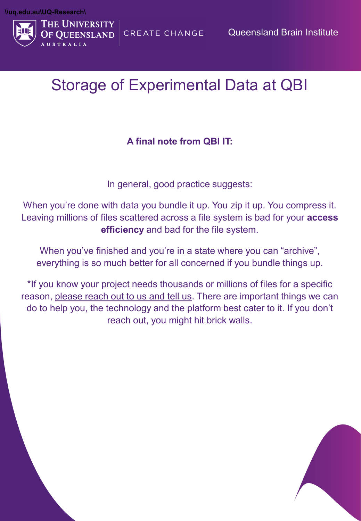

#### **A final note from QBI IT:**

In general, good practice suggests:

When you're done with data you bundle it up. You zip it up. You compress it. Leaving millions of files scattered across a file system is bad for your **access efficiency** and bad for the file system.

When you've finished and you're in a state where you can "archive", everything is so much better for all concerned if you bundle things up.

\*If you know your project needs thousands or millions of files for a specific reason, please reach out to us and tell us. There are important things we can do to help you, the technology and the platform best cater to it. If you don't reach out, you might hit brick walls.

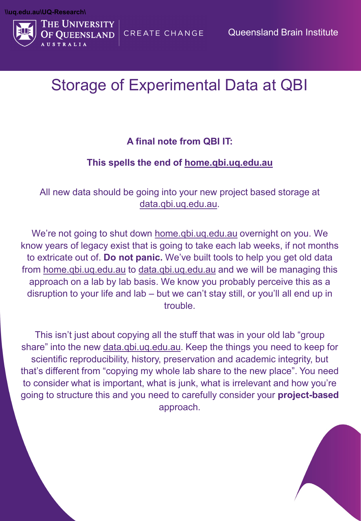

#### **A final note from QBI IT:**

#### **This spells the end of [home.qbi.uq.edu.au](http://home.qbi.uq.edu.au/)**

All new data should be going into your new project based storage at data.qbi.uq.edu.au.

We're not going to shut down [home.qbi.uq.edu.au](http://home.qbi.uq.edu.au/) overnight on you. We know years of legacy exist that is going to take each lab weeks, if not months to extricate out of. **Do not panic.** We've built tools to help you get old data from [home.qbi.uq.edu.au](http://home.qbi.uq.edu.au/) to data.qbi.uq.edu.au and we will be managing this approach on a lab by lab basis. We know you probably perceive this as a disruption to your life and lab – but we can't stay still, or you'll all end up in trouble.

This isn't just about copying all the stuff that was in your old lab "group share" into the new data.qbi.uq.edu.au. Keep the things you need to keep for scientific reproducibility, history, preservation and academic integrity, but that's different from "copying my whole lab share to the new place". You need to consider what is important, what is junk, what is irrelevant and how you're going to structure this and you need to carefully consider your **project-based**  approach.